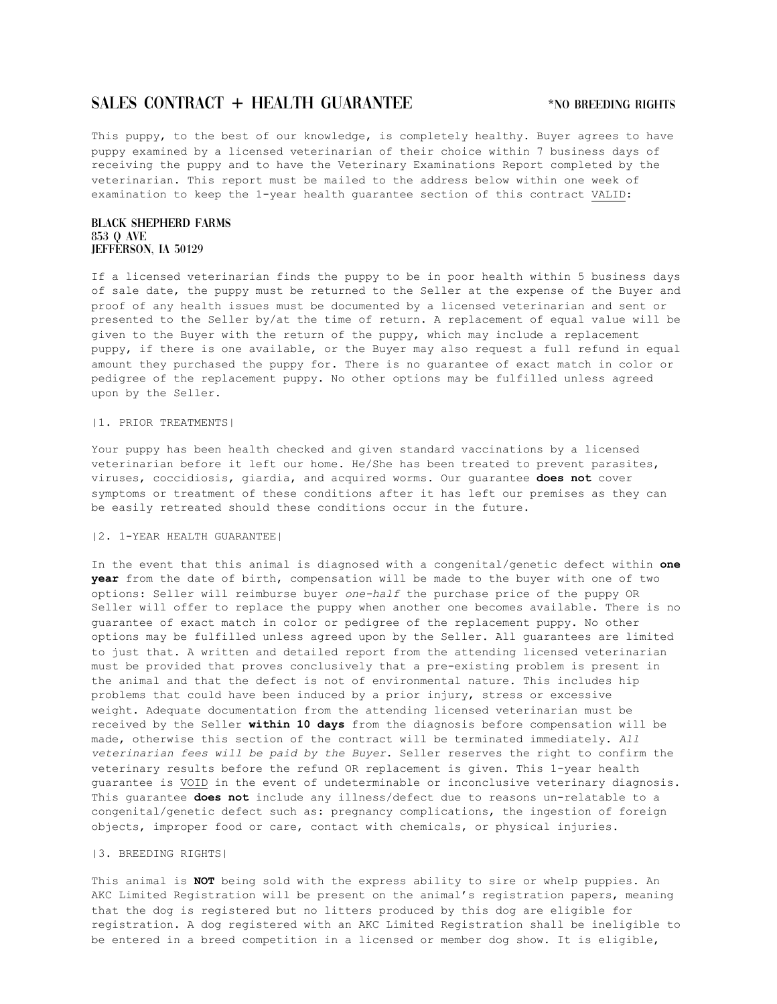# SALES CONTRACT + HEALTH GUARANTEE **\*NO BREEDING RIGHTS**

This puppy, to the best of our knowledge, is completely healthy. Buyer agrees to have puppy examined by a licensed veterinarian of their choice within 7 business days of receiving the puppy and to have the Veterinary Examinations Report completed by the veterinarian. This report must be mailed to the address below within one week of examination to keep the 1-year health guarantee section of this contract VALID:

## Black Shepherd Farms 853 Q Ave JEFFERSON, IA 50129

If a licensed veterinarian finds the puppy to be in poor health within 5 business days of sale date, the puppy must be returned to the Seller at the expense of the Buyer and proof of any health issues must be documented by a licensed veterinarian and sent or presented to the Seller by/at the time of return. A replacement of equal value will be given to the Buyer with the return of the puppy, which may include a replacement puppy, if there is one available, or the Buyer may also request a full refund in equal amount they purchased the puppy for. There is no guarantee of exact match in color or pedigree of the replacement puppy. No other options may be fulfilled unless agreed upon by the Seller.

### |1. PRIOR TREATMENTS|

Your puppy has been health checked and given standard vaccinations by a licensed veterinarian before it left our home. He/She has been treated to prevent parasites, viruses, coccidiosis, giardia, and acquired worms. Our guarantee **does not** cover symptoms or treatment of these conditions after it has left our premises as they can be easily retreated should these conditions occur in the future.

### |2. 1-YEAR HEALTH GUARANTEE|

In the event that this animal is diagnosed with a congenital/genetic defect within **one year** from the date of birth, compensation will be made to the buyer with one of two options: Seller will reimburse buyer *one-half* the purchase price of the puppy OR Seller will offer to replace the puppy when another one becomes available. There is no guarantee of exact match in color or pedigree of the replacement puppy. No other options may be fulfilled unless agreed upon by the Seller. All guarantees are limited to just that. A written and detailed report from the attending licensed veterinarian must be provided that proves conclusively that a pre-existing problem is present in the animal and that the defect is not of environmental nature. This includes hip problems that could have been induced by a prior injury, stress or excessive weight. Adequate documentation from the attending licensed veterinarian must be received by the Seller **within 10 days** from the diagnosis before compensation will be made, otherwise this section of the contract will be terminated immediately. *All veterinarian fees will be paid by the Buyer*. Seller reserves the right to confirm the veterinary results before the refund OR replacement is given. This 1-year health guarantee is VOID in the event of undeterminable or inconclusive veterinary diagnosis. This guarantee **does not** include any illness/defect due to reasons un-relatable to a congenital/genetic defect such as: pregnancy complications, the ingestion of foreign objects, improper food or care, contact with chemicals, or physical injuries.

#### |3. BREEDING RIGHTS|

This animal is **NOT** being sold with the express ability to sire or whelp puppies. An AKC Limited Registration will be present on the animal's registration papers, meaning that the dog is registered but no litters produced by this dog are eligible for registration. A dog registered with an AKC Limited Registration shall be ineligible to be entered in a breed competition in a licensed or member dog show. It is eligible,